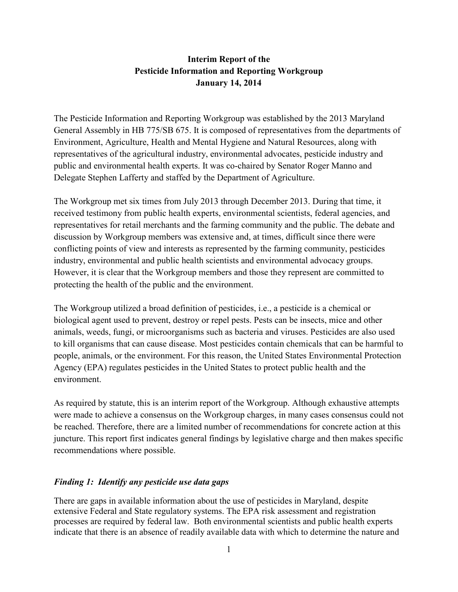## Interim Report of the Pesticide Information and Reporting Workgroup January 14, 2014

The Pesticide Information and Reporting Workgroup was established by the 2013 Maryland General Assembly in HB 775/SB 675. It is composed of representatives from the departments of Environment, Agriculture, Health and Mental Hygiene and Natural Resources, along with representatives of the agricultural industry, environmental advocates, pesticide industry and public and environmental health experts. It was co-chaired by Senator Roger Manno and Delegate Stephen Lafferty and staffed by the Department of Agriculture.

The Workgroup met six times from July 2013 through December 2013. During that time, it received testimony from public health experts, environmental scientists, federal agencies, and representatives for retail merchants and the farming community and the public. The debate and discussion by Workgroup members was extensive and, at times, difficult since there were conflicting points of view and interests as represented by the farming community, pesticides industry, environmental and public health scientists and environmental advocacy groups. However, it is clear that the Workgroup members and those they represent are committed to protecting the health of the public and the environment.

The Workgroup utilized a broad definition of pesticides, i.e., a pesticide is a chemical or biological agent used to prevent, destroy or repel pests. Pests can be insects, mice and other animals, weeds, fungi, or microorganisms such as bacteria and viruses. Pesticides are also used to kill organisms that can cause disease. Most pesticides contain chemicals that can be harmful to people, animals, or the environment. For this reason, the United States Environmental Protection Agency (EPA) regulates pesticides in the United States to protect public health and the environment.

As required by statute, this is an interim report of the Workgroup. Although exhaustive attempts were made to achieve a consensus on the Workgroup charges, in many cases consensus could not be reached. Therefore, there are a limited number of recommendations for concrete action at this juncture. This report first indicates general findings by legislative charge and then makes specific recommendations where possible.

### Finding 1: Identify any pesticide use data gaps

There are gaps in available information about the use of pesticides in Maryland, despite extensive Federal and State regulatory systems. The EPA risk assessment and registration processes are required by federal law. Both environmental scientists and public health experts indicate that there is an absence of readily available data with which to determine the nature and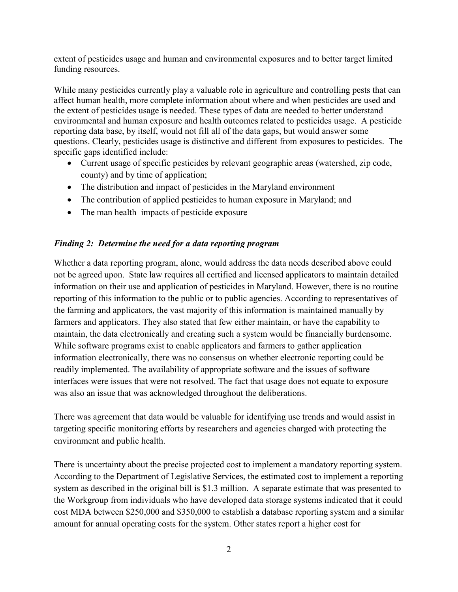extent of pesticides usage and human and environmental exposures and to better target limited funding resources.

While many pesticides currently play a valuable role in agriculture and controlling pests that can affect human health, more complete information about where and when pesticides are used and the extent of pesticides usage is needed. These types of data are needed to better understand environmental and human exposure and health outcomes related to pesticides usage. A pesticide reporting data base, by itself, would not fill all of the data gaps, but would answer some questions. Clearly, pesticides usage is distinctive and different from exposures to pesticides. The specific gaps identified include:

- Current usage of specific pesticides by relevant geographic areas (watershed, zip code, county) and by time of application;
- The distribution and impact of pesticides in the Maryland environment
- The contribution of applied pesticides to human exposure in Maryland; and
- The man health impacts of pesticide exposure

### Finding 2: Determine the need for a data reporting program

Whether a data reporting program, alone, would address the data needs described above could not be agreed upon. State law requires all certified and licensed applicators to maintain detailed information on their use and application of pesticides in Maryland. However, there is no routine reporting of this information to the public or to public agencies. According to representatives of the farming and applicators, the vast majority of this information is maintained manually by farmers and applicators. They also stated that few either maintain, or have the capability to maintain, the data electronically and creating such a system would be financially burdensome. While software programs exist to enable applicators and farmers to gather application information electronically, there was no consensus on whether electronic reporting could be readily implemented. The availability of appropriate software and the issues of software interfaces were issues that were not resolved. The fact that usage does not equate to exposure was also an issue that was acknowledged throughout the deliberations.

There was agreement that data would be valuable for identifying use trends and would assist in targeting specific monitoring efforts by researchers and agencies charged with protecting the environment and public health.

There is uncertainty about the precise projected cost to implement a mandatory reporting system. According to the Department of Legislative Services, the estimated cost to implement a reporting system as described in the original bill is \$1.3 million. A separate estimate that was presented to the Workgroup from individuals who have developed data storage systems indicated that it could cost MDA between \$250,000 and \$350,000 to establish a database reporting system and a similar amount for annual operating costs for the system. Other states report a higher cost for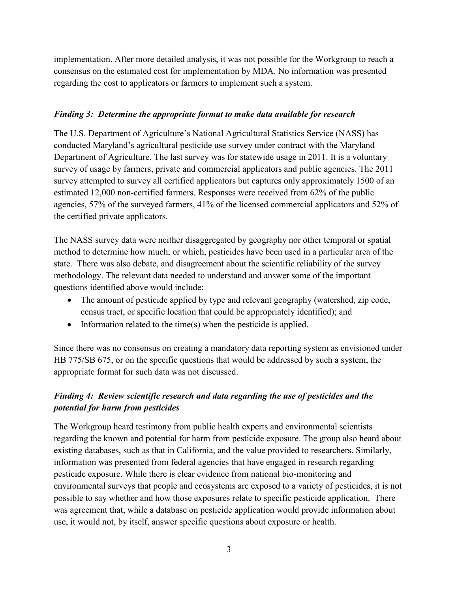implementation. After more detailed analysis, it was not possible for the Workgroup to reach a consensus on the estimated cost for implementation by MDA. No information was presented regarding the cost to applicators or farmers to implement such a system.

## Finding 3: Determine the appropriate format to make data available for research

The U.S. Department of Agriculture's National Agricultural Statistics Service (NASS) has conducted Maryland's agricultural pesticide use survey under contract with the Maryland Department of Agriculture. The last survey was for statewide usage in 2011. It is a voluntary survey of usage by farmers, private and commercial applicators and public agencies. The 2011 survey attempted to survey all certified applicators but captures only approximately 1500 of an estimated 12,000 non-certified farmers. Responses were received from 62% of the public agencies, 57% of the surveyed farmers, 41% of the licensed commercial applicators and 52% of the certified private applicators.

The NASS survey data were neither disaggregated by geography nor other temporal or spatial method to determine how much, or which, pesticides have been used in a particular area of the state. There was also debate, and disagreement about the scientific reliability of the survey methodology. The relevant data needed to understand and answer some of the important questions identified above would include:

- The amount of pesticide applied by type and relevant geography (watershed, zip code, census tract, or specific location that could be appropriately identified); and
- Information related to the time(s) when the pesticide is applied.

Since there was no consensus on creating a mandatory data reporting system as envisioned under HB 775/SB 675, or on the specific questions that would be addressed by such a system, the appropriate format for such data was not discussed.

# Finding 4: Review scientific research and data regarding the use of pesticides and the potential for harm from pesticides

The Workgroup heard testimony from public health experts and environmental scientists regarding the known and potential for harm from pesticide exposure. The group also heard about existing databases, such as that in California, and the value provided to researchers. Similarly, information was presented from federal agencies that have engaged in research regarding pesticide exposure. While there is clear evidence from national bio-monitoring and environmental surveys that people and ecosystems are exposed to a variety of pesticides, it is not possible to say whether and how those exposures relate to specific pesticide application. There was agreement that, while a database on pesticide application would provide information about use, it would not, by itself, answer specific questions about exposure or health.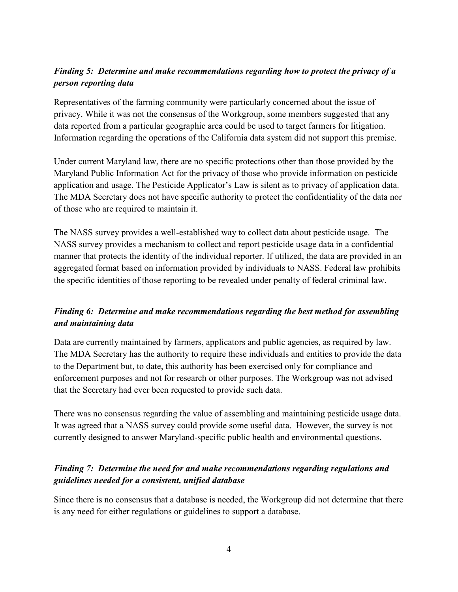# Finding 5: Determine and make recommendations regarding how to protect the privacy of a person reporting data

Representatives of the farming community were particularly concerned about the issue of privacy. While it was not the consensus of the Workgroup, some members suggested that any data reported from a particular geographic area could be used to target farmers for litigation. Information regarding the operations of the California data system did not support this premise.

Under current Maryland law, there are no specific protections other than those provided by the Maryland Public Information Act for the privacy of those who provide information on pesticide application and usage. The Pesticide Applicator's Law is silent as to privacy of application data. The MDA Secretary does not have specific authority to protect the confidentiality of the data nor of those who are required to maintain it.

The NASS survey provides a well-established way to collect data about pesticide usage. The NASS survey provides a mechanism to collect and report pesticide usage data in a confidential manner that protects the identity of the individual reporter. If utilized, the data are provided in an aggregated format based on information provided by individuals to NASS. Federal law prohibits the specific identities of those reporting to be revealed under penalty of federal criminal law.

# Finding 6: Determine and make recommendations regarding the best method for assembling and maintaining data

Data are currently maintained by farmers, applicators and public agencies, as required by law. The MDA Secretary has the authority to require these individuals and entities to provide the data to the Department but, to date, this authority has been exercised only for compliance and enforcement purposes and not for research or other purposes. The Workgroup was not advised that the Secretary had ever been requested to provide such data.

There was no consensus regarding the value of assembling and maintaining pesticide usage data. It was agreed that a NASS survey could provide some useful data. However, the survey is not currently designed to answer Maryland-specific public health and environmental questions.

# Finding 7: Determine the need for and make recommendations regarding regulations and guidelines needed for a consistent, unified database

Since there is no consensus that a database is needed, the Workgroup did not determine that there is any need for either regulations or guidelines to support a database.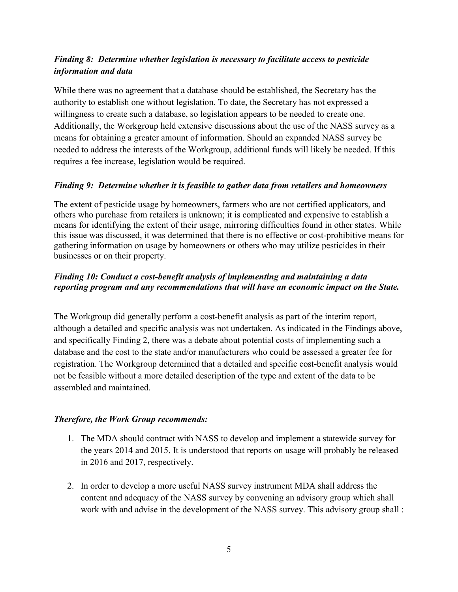# Finding 8: Determine whether legislation is necessary to facilitate access to pesticide information and data

While there was no agreement that a database should be established, the Secretary has the authority to establish one without legislation. To date, the Secretary has not expressed a willingness to create such a database, so legislation appears to be needed to create one. Additionally, the Workgroup held extensive discussions about the use of the NASS survey as a means for obtaining a greater amount of information. Should an expanded NASS survey be needed to address the interests of the Workgroup, additional funds will likely be needed. If this requires a fee increase, legislation would be required.

## Finding 9: Determine whether it is feasible to gather data from retailers and homeowners

The extent of pesticide usage by homeowners, farmers who are not certified applicators, and others who purchase from retailers is unknown; it is complicated and expensive to establish a means for identifying the extent of their usage, mirroring difficulties found in other states. While this issue was discussed, it was determined that there is no effective or cost-prohibitive means for gathering information on usage by homeowners or others who may utilize pesticides in their businesses or on their property.

## Finding 10: Conduct a cost-benefit analysis of implementing and maintaining a data reporting program and any recommendations that will have an economic impact on the State.

The Workgroup did generally perform a cost-benefit analysis as part of the interim report, although a detailed and specific analysis was not undertaken. As indicated in the Findings above, and specifically Finding 2, there was a debate about potential costs of implementing such a database and the cost to the state and/or manufacturers who could be assessed a greater fee for registration. The Workgroup determined that a detailed and specific cost-benefit analysis would not be feasible without a more detailed description of the type and extent of the data to be assembled and maintained.

### Therefore, the Work Group recommends:

- 1. The MDA should contract with NASS to develop and implement a statewide survey for the years 2014 and 2015. It is understood that reports on usage will probably be released in 2016 and 2017, respectively.
- 2. In order to develop a more useful NASS survey instrument MDA shall address the content and adequacy of the NASS survey by convening an advisory group which shall work with and advise in the development of the NASS survey. This advisory group shall :